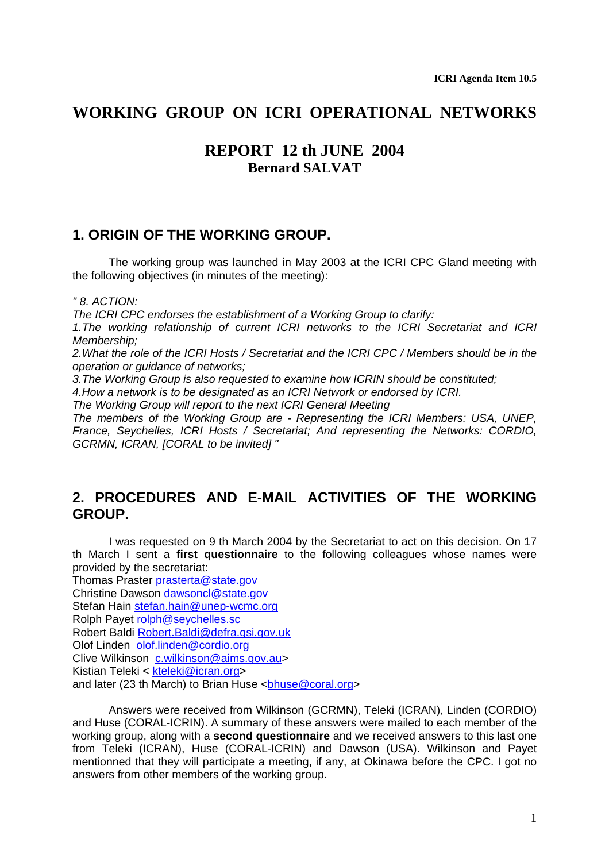## **WORKING GROUP ON ICRI OPERATIONAL NETWORKS**

## **REPORT 12 th JUNE 2004 Bernard SALVAT**

## **1. ORIGIN OF THE WORKING GROUP.**

The working group was launched in May 2003 at the ICRI CPC Gland meeting with the following objectives (in minutes of the meeting):

*" 8. ACTION:* 

*The ICRI CPC endorses the establishment of a Working Group to clarify:* 

*1.The working relationship of current ICRI networks to the ICRI Secretariat and ICRI Membership;* 

*2.What the role of the ICRI Hosts / Secretariat and the ICRI CPC / Members should be in the operation or guidance of networks;* 

*3.The Working Group is also requested to examine how ICRIN should be constituted;* 

*4.How a network is to be designated as an ICRI Network or endorsed by ICRI.* 

*The Working Group will report to the next ICRI General Meeting* 

*The members of the Working Group are - Representing the ICRI Members: USA, UNEP, France, Seychelles, ICRI Hosts / Secretariat; And representing the Networks: CORDIO, GCRMN, ICRAN, [CORAL to be invited] "* 

## **2. PROCEDURES AND E-MAIL ACTIVITIES OF THE WORKING GROUP.**

I was requested on 9 th March 2004 by the Secretariat to act on this decision. On 17 th March I sent a **first questionnaire** to the following colleagues whose names were provided by the secretariat:

Thomas Praster [prasterta@state.gov](mailto:prasterta@state.gov) Christine Dawson [dawsoncl@state.gov](mailto:dawsoncl@state.gov) Stefan Hain [stefan.hain@unep-wcmc.org](mailto:stefan.hain@unep-wcmc.org) Rolph Payet [rolph@seychelles.sc](mailto:rolph@seychelles.sc) Robert Baldi [Robert.Baldi@defra.gsi.gov.uk](mailto:Robert.Baldi@defra.gsi.gov.uk) Olof Linden [olof.linden@cordio.org](mailto:olof.linden@cordio.org) Clive Wilkinson [c.wilkinson@aims.gov.au](mailto:c.wilkinson@aims.gov.au)> Kistian Teleki < [kteleki@icran.org](mailto:kteleki@icran.org)> and later (23 th March) to Brian Huse <br/>bhuse@coral.org>

Answers were received from Wilkinson (GCRMN), Teleki (ICRAN), Linden (CORDIO) and Huse (CORAL-ICRIN). A summary of these answers were mailed to each member of the working group, along with a **second questionnaire** and we received answers to this last one from Teleki (ICRAN), Huse (CORAL-ICRIN) and Dawson (USA). Wilkinson and Payet mentionned that they will participate a meeting, if any, at Okinawa before the CPC. I got no answers from other members of the working group.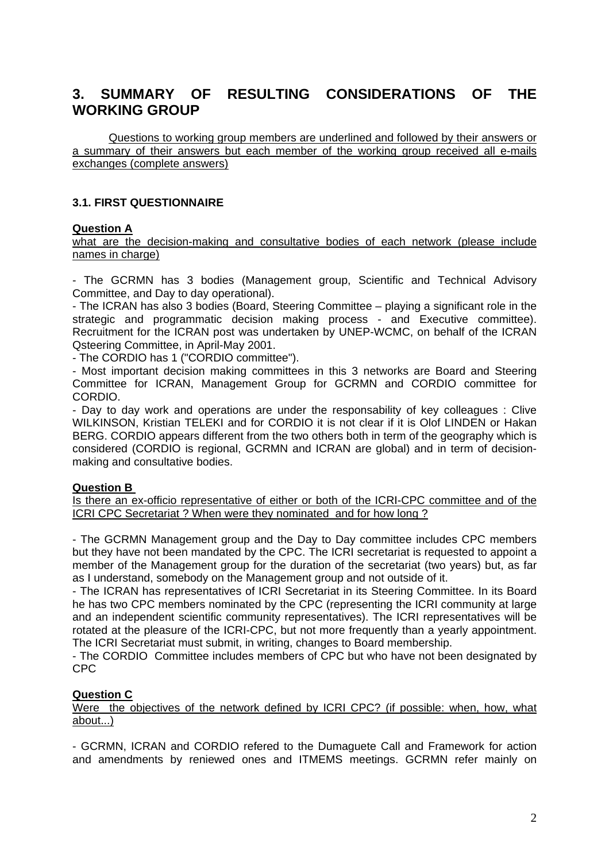# **3. SUMMARY OF RESULTING CONSIDERATIONS OF THE WORKING GROUP**

Questions to working group members are underlined and followed by their answers or a summary of their answers but each member of the working group received all e-mails exchanges (complete answers)

### **3.1. FIRST QUESTIONNAIRE**

### **Question A**

what are the decision-making and consultative bodies of each network (please include names in charge)

- The GCRMN has 3 bodies (Management group, Scientific and Technical Advisory Committee, and Day to day operational).

- The ICRAN has also 3 bodies (Board, Steering Committee – playing a significant role in the strategic and programmatic decision making process - and Executive committee). Recruitment for the ICRAN post was undertaken by UNEP-WCMC, on behalf of the ICRAN Qsteering Committee, in April-May 2001.

- The CORDIO has 1 ("CORDIO committee").

- Most important decision making committees in this 3 networks are Board and Steering Committee for ICRAN, Management Group for GCRMN and CORDIO committee for CORDIO.

- Day to day work and operations are under the responsability of key colleagues : Clive WILKINSON, Kristian TELEKI and for CORDIO it is not clear if it is Olof LINDEN or Hakan BERG. CORDIO appears different from the two others both in term of the geography which is considered (CORDIO is regional, GCRMN and ICRAN are global) and in term of decisionmaking and consultative bodies.

### **Question B**

Is there an ex-officio representative of either or both of the ICRI-CPC committee and of the ICRI CPC Secretariat ? When were they nominated and for how long ?

- The GCRMN Management group and the Day to Day committee includes CPC members but they have not been mandated by the CPC. The ICRI secretariat is requested to appoint a member of the Management group for the duration of the secretariat (two years) but, as far as I understand, somebody on the Management group and not outside of it.

- The ICRAN has representatives of ICRI Secretariat in its Steering Committee. In its Board he has two CPC members nominated by the CPC (representing the ICRI community at large and an independent scientific community representatives). The ICRI representatives will be rotated at the pleasure of the ICRI-CPC, but not more frequently than a yearly appointment. The ICRI Secretariat must submit, in writing, changes to Board membership.

- The CORDIO Committee includes members of CPC but who have not been designated by CPC

### **Question C**

Were the objectives of the network defined by ICRI CPC? (if possible: when, how, what about...)

- GCRMN, ICRAN and CORDIO refered to the Dumaguete Call and Framework for action and amendments by reniewed ones and ITMEMS meetings. GCRMN refer mainly on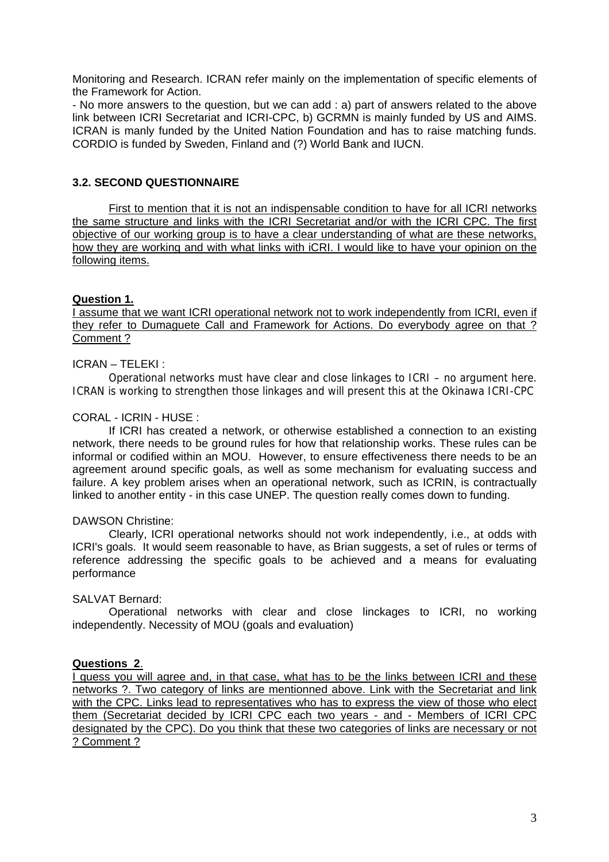Monitoring and Research. ICRAN refer mainly on the implementation of specific elements of the Framework for Action.

- No more answers to the question, but we can add : a) part of answers related to the above link between ICRI Secretariat and ICRI-CPC, b) GCRMN is mainly funded by US and AIMS. ICRAN is manly funded by the United Nation Foundation and has to raise matching funds. CORDIO is funded by Sweden, Finland and (?) World Bank and IUCN.

### **3.2. SECOND QUESTIONNAIRE**

First to mention that it is not an indispensable condition to have for all ICRI networks the same structure and links with the ICRI Secretariat and/or with the ICRI CPC. The first objective of our working group is to have a clear understanding of what are these networks, how they are working and with what links with iCRI. I would like to have your opinion on the following items.

### **Question 1.**

I assume that we want ICRI operational network not to work independently from ICRI, even if they refer to Dumaguete Call and Framework for Actions. Do everybody agree on that ? Comment ?

### ICRAN – TELEKI :

Operational networks must have clear and close linkages to ICRI – no argument here. ICRAN is working to strengthen those linkages and will present this at the Okinawa ICRI-CPC

### CORAL - ICRIN - HUSE :

If ICRI has created a network, or otherwise established a connection to an existing network, there needs to be ground rules for how that relationship works. These rules can be informal or codified within an MOU. However, to ensure effectiveness there needs to be an agreement around specific goals, as well as some mechanism for evaluating success and failure. A key problem arises when an operational network, such as ICRIN, is contractually linked to another entity - in this case UNEP. The question really comes down to funding.

### DAWSON Christine:

Clearly, ICRI operational networks should not work independently, i.e., at odds with ICRI's goals. It would seem reasonable to have, as Brian suggests, a set of rules or terms of reference addressing the specific goals to be achieved and a means for evaluating performance

### SALVAT Bernard:

Operational networks with clear and close linckages to ICRI, no working independently. Necessity of MOU (goals and evaluation)

### **Questions 2**.

I guess you will agree and, in that case, what has to be the links between ICRI and these networks ?. Two category of links are mentionned above. Link with the Secretariat and link with the CPC. Links lead to representatives who has to express the view of those who elect them (Secretariat decided by ICRI CPC each two years - and - Members of ICRI CPC designated by the CPC). Do you think that these two categories of links are necessary or not ? Comment ?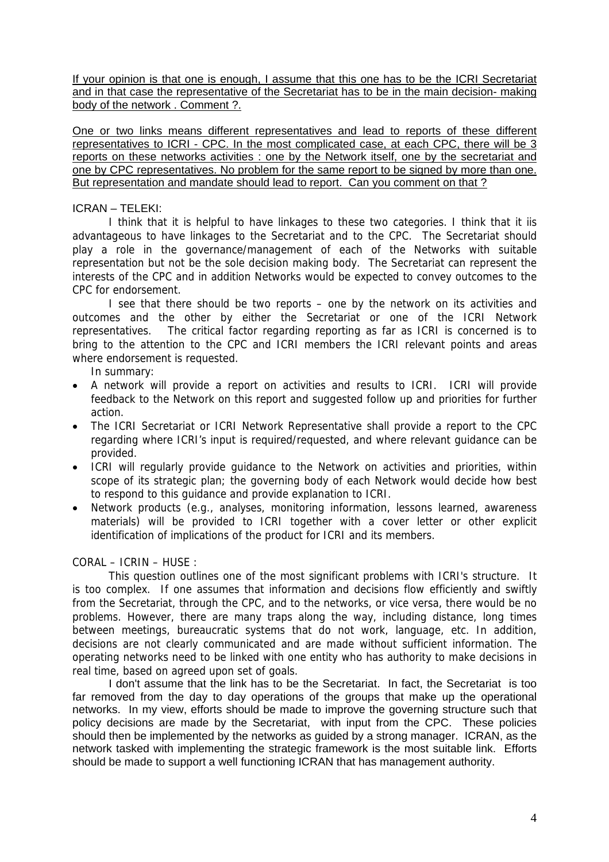If your opinion is that one is enough, I assume that this one has to be the ICRI Secretariat and in that case the representative of the Secretariat has to be in the main decision- making body of the network . Comment ?.

One or two links means different representatives and lead to reports of these different representatives to ICRI - CPC. In the most complicated case, at each CPC, there will be 3 reports on these networks activities : one by the Network itself, one by the secretariat and one by CPC representatives. No problem for the same report to be signed by more than one. But representation and mandate should lead to report. Can you comment on that?

### ICRAN – TELEKI:

I think that it is helpful to have linkages to these two categories. I think that it iis advantageous to have linkages to the Secretariat and to the CPC. The Secretariat should play a role in the governance/management of each of the Networks with suitable representation but not be the sole decision making body. The Secretariat can represent the interests of the CPC and in addition Networks would be expected to convey outcomes to the CPC for endorsement.

I see that there should be two reports – one by the network on its activities and outcomes and the other by either the Secretariat or one of the ICRI Network representatives. The critical factor regarding reporting as far as ICRI is concerned is to bring to the attention to the CPC and ICRI members the ICRI relevant points and areas where endorsement is requested.

In summary:

- A network will provide a report on activities and results to ICRI. ICRI will provide feedback to the Network on this report and suggested follow up and priorities for further action.
- The ICRI Secretariat or ICRI Network Representative shall provide a report to the CPC regarding where ICRI's input is required/requested, and where relevant guidance can be provided.
- ICRI will regularly provide guidance to the Network on activities and priorities, within scope of its strategic plan; the governing body of each Network would decide how best to respond to this guidance and provide explanation to ICRI.
- Network products (e.g., analyses, monitoring information, lessons learned, awareness materials) will be provided to ICRI together with a cover letter or other explicit identification of implications of the product for ICRI and its members.

### CORAL – ICRIN – HUSE :

This question outlines one of the most significant problems with ICRI's structure. It is too complex. If one assumes that information and decisions flow efficiently and swiftly from the Secretariat, through the CPC, and to the networks, or vice versa, there would be no problems. However, there are many traps along the way, including distance, long times between meetings, bureaucratic systems that do not work, language, etc. In addition, decisions are not clearly communicated and are made without sufficient information. The operating networks need to be linked with one entity who has authority to make decisions in real time, based on agreed upon set of goals.

I don't assume that the link has to be the Secretariat. In fact, the Secretariat is too far removed from the day to day operations of the groups that make up the operational networks. In my view, efforts should be made to improve the governing structure such that policy decisions are made by the Secretariat, with input from the CPC. These policies should then be implemented by the networks as guided by a strong manager. ICRAN, as the network tasked with implementing the strategic framework is the most suitable link. Efforts should be made to support a well functioning ICRAN that has management authority.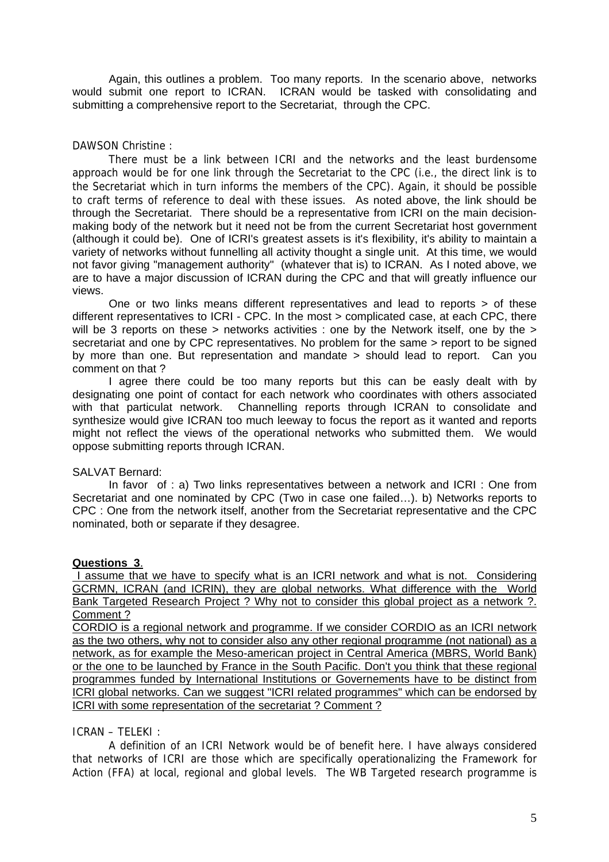Again, this outlines a problem. Too many reports. In the scenario above, networks would submit one report to ICRAN. ICRAN would be tasked with consolidating and submitting a comprehensive report to the Secretariat, through the CPC.

### DAWSON Christine :

There must be a link between ICRI and the networks and the least burdensome approach would be for one link through the Secretariat to the CPC (i.e., the direct link is to the Secretariat which in turn informs the members of the CPC). Again, it should be possible to craft terms of reference to deal with these issues. As noted above, the link should be through the Secretariat. There should be a representative from ICRI on the main decisionmaking body of the network but it need not be from the current Secretariat host government (although it could be). One of ICRI's greatest assets is it's flexibility, it's ability to maintain a variety of networks without funnelling all activity thought a single unit. At this time, we would not favor giving "management authority" (whatever that is) to ICRAN. As I noted above, we are to have a major discussion of ICRAN during the CPC and that will greatly influence our views.

One or two links means different representatives and lead to reports > of these different representatives to ICRI - CPC. In the most > complicated case, at each CPC, there will be 3 reports on these > networks activities : one by the Network itself, one by the > secretariat and one by CPC representatives. No problem for the same > report to be signed by more than one. But representation and mandate > should lead to report. Can you comment on that ?

I agree there could be too many reports but this can be easly dealt with by designating one point of contact for each network who coordinates with others associated with that particulat network. Channelling reports through ICRAN to consolidate and synthesize would give ICRAN too much leeway to focus the report as it wanted and reports might not reflect the views of the operational networks who submitted them. We would oppose submitting reports through ICRAN.

### SALVAT Bernard:

In favor of : a) Two links representatives between a network and ICRI : One from Secretariat and one nominated by CPC (Two in case one failed…). b) Networks reports to CPC : One from the network itself, another from the Secretariat representative and the CPC nominated, both or separate if they desagree.

### **Questions 3**.

 I assume that we have to specify what is an ICRI network and what is not. Considering GCRMN, ICRAN (and ICRIN), they are global networks. What difference with the World Bank Targeted Research Project ? Why not to consider this global project as a network ?. Comment ?

CORDIO is a regional network and programme. If we consider CORDIO as an ICRI network as the two others, why not to consider also any other regional programme (not national) as a network, as for example the Meso-american project in Central America (MBRS, World Bank) or the one to be launched by France in the South Pacific. Don't you think that these regional programmes funded by International Institutions or Governements have to be distinct from ICRI global networks. Can we suggest "ICRI related programmes" which can be endorsed by ICRI with some representation of the secretariat ? Comment ?

### ICRAN – TELEKI :

A definition of an ICRI Network would be of benefit here. I have always considered that networks of ICRI are those which are specifically operationalizing the Framework for Action (FFA) at local, regional and global levels. The WB Targeted research programme is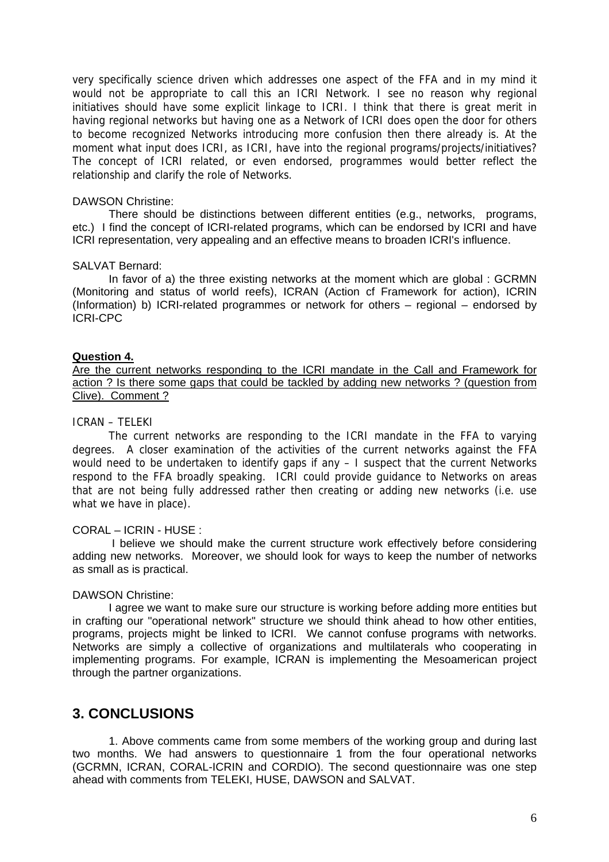very specifically science driven which addresses one aspect of the FFA and in my mind it would not be appropriate to call this an ICRI Network. I see no reason why regional initiatives should have some explicit linkage to ICRI. I think that there is great merit in having regional networks but having one as a Network of ICRI does open the door for others to become recognized Networks introducing more confusion then there already is. At the moment what input does ICRI, as ICRI, have into the regional programs/projects/initiatives? The concept of ICRI related, or even endorsed, programmes would better reflect the relationship and clarify the role of Networks.

### DAWSON Christine:

There should be distinctions between different entities (e.g., networks, programs, etc.) I find the concept of ICRI-related programs, which can be endorsed by ICRI and have ICRI representation, very appealing and an effective means to broaden ICRI's influence.

### SALVAT Bernard:

In favor of a) the three existing networks at the moment which are global : GCRMN (Monitoring and status of world reefs), ICRAN (Action cf Framework for action), ICRIN (Information) b) ICRI-related programmes or network for others – regional – endorsed by ICRI-CPC

### **Question 4.**

Are the current networks responding to the ICRI mandate in the Call and Framework for action ? Is there some gaps that could be tackled by adding new networks ? (question from Clive). Comment ?

### ICRAN – TELEKI

The current networks are responding to the ICRI mandate in the FFA to varying degrees. A closer examination of the activities of the current networks against the FFA would need to be undertaken to identify gaps if any – I suspect that the current Networks respond to the FFA broadly speaking. ICRI could provide guidance to Networks on areas that are not being fully addressed rather then creating or adding new networks (i.e. use what we have in place).

### CORAL – ICRIN - HUSE :

I believe we should make the current structure work effectively before considering adding new networks. Moreover, we should look for ways to keep the number of networks as small as is practical.

### DAWSON Christine:

I agree we want to make sure our structure is working before adding more entities but in crafting our "operational network" structure we should think ahead to how other entities, programs, projects might be linked to ICRI. We cannot confuse programs with networks. Networks are simply a collective of organizations and multilaterals who cooperating in implementing programs. For example, ICRAN is implementing the Mesoamerican project through the partner organizations.

## **3. CONCLUSIONS**

1. Above comments came from some members of the working group and during last two months. We had answers to questionnaire 1 from the four operational networks (GCRMN, ICRAN, CORAL-ICRIN and CORDIO). The second questionnaire was one step ahead with comments from TELEKI, HUSE, DAWSON and SALVAT.